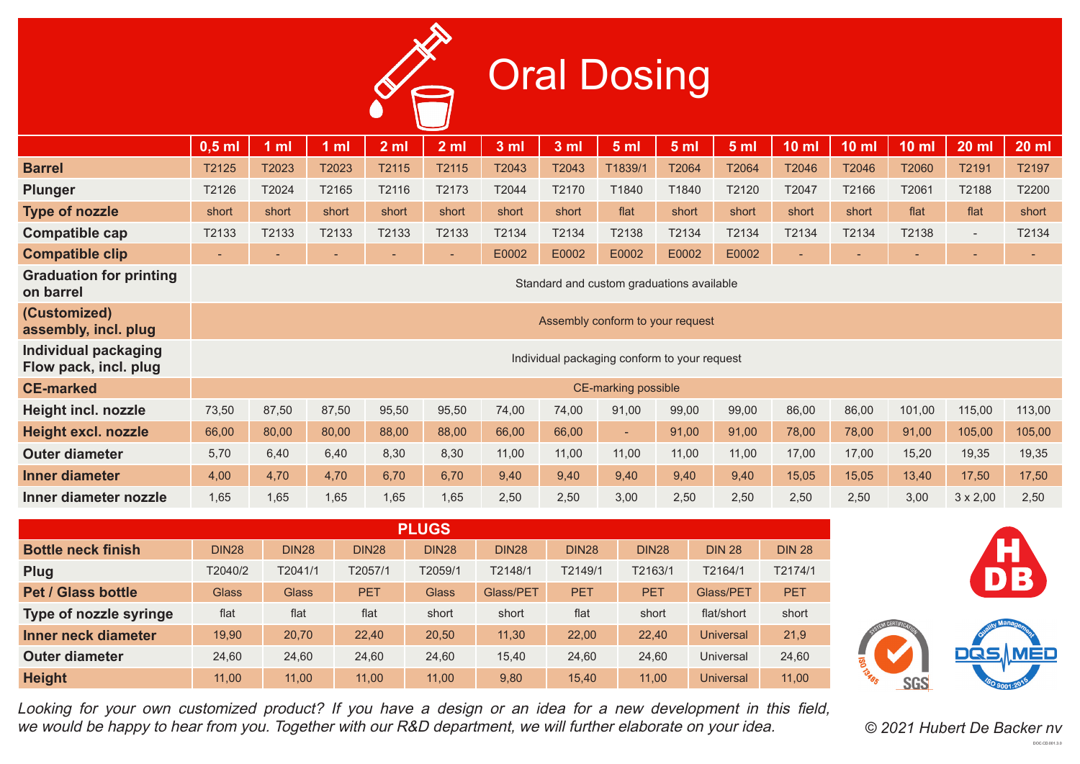## **Oral Dosing**

|                                                      | $0,5$ ml                                     | 1 <sub>m</sub> | 1 <sub>m</sub> | 2 <sub>m</sub> | 2 <sub>m</sub>           | 3 <sub>m</sub> | 3 <sub>m</sub> | 5 <sub>m</sub>           | 5 <sub>m</sub> | 5 <sub>m</sub> | 10 <sub>m</sub> | 10 <sub>m</sub> | 10 <sub>m1</sub>         | <b>20 ml</b>             | $20$ ml |
|------------------------------------------------------|----------------------------------------------|----------------|----------------|----------------|--------------------------|----------------|----------------|--------------------------|----------------|----------------|-----------------|-----------------|--------------------------|--------------------------|---------|
| <b>Barrel</b>                                        | T2125                                        | T2023          | T2023          | T2115          | T2115                    | T2043          | T2043          | T1839/1                  | T2064          | T2064          | T2046           | T2046           | T2060                    | T2191                    | T2197   |
| <b>Plunger</b>                                       | T2126                                        | T2024          | T2165          | T2116          | T2173                    | T2044          | T2170          | T1840                    | T1840          | T2120          | T2047           | T2166           | T2061                    | T2188                    | T2200   |
| <b>Type of nozzle</b>                                | short                                        | short          | short          | short          | short                    | short          | short          | flat                     | short          | short          | short           | short           | flat                     | flat                     | short   |
| <b>Compatible cap</b>                                | T2133                                        | T2133          | T2133          | T2133          | T2133                    | T2134          | T2134          | T2138                    | T2134          | T2134          | T2134           | T2134           | T2138                    | $\overline{\phantom{a}}$ | T2134   |
| <b>Compatible clip</b>                               | ٠                                            |                |                |                | $\overline{\phantom{0}}$ | E0002          | E0002          | E0002                    | E0002          | E0002          | ٠               | ٠               | $\overline{\phantom{a}}$ | $\overline{\phantom{a}}$ |         |
| <b>Graduation for printing</b><br>on barrel          | Standard and custom graduations available    |                |                |                |                          |                |                |                          |                |                |                 |                 |                          |                          |         |
| (Customized)<br>assembly, incl. plug                 | Assembly conform to your request             |                |                |                |                          |                |                |                          |                |                |                 |                 |                          |                          |         |
| <b>Individual packaging</b><br>Flow pack, incl. plug | Individual packaging conform to your request |                |                |                |                          |                |                |                          |                |                |                 |                 |                          |                          |         |
| <b>CE-marked</b>                                     | <b>CE-marking possible</b>                   |                |                |                |                          |                |                |                          |                |                |                 |                 |                          |                          |         |
| <b>Height incl. nozzle</b>                           | 73,50                                        | 87,50          | 87,50          | 95,50          | 95,50                    | 74,00          | 74,00          | 91,00                    | 99,00          | 99,00          | 86,00           | 86,00           | 101,00                   | 115,00                   | 113,00  |
| <b>Height excl. nozzle</b>                           | 66,00                                        | 80,00          | 80,00          | 88,00          | 88,00                    | 66,00          | 66,00          | $\overline{\phantom{a}}$ | 91,00          | 91,00          | 78,00           | 78,00           | 91,00                    | 105,00                   | 105,00  |
| <b>Outer diameter</b>                                | 5,70                                         | 6,40           | 6,40           | 8,30           | 8,30                     | 11,00          | 11,00          | 11,00                    | 11,00          | 11,00          | 17,00           | 17,00           | 15,20                    | 19,35                    | 19,35   |
| <b>Inner diameter</b>                                | 4,00                                         | 4,70           | 4,70           | 6,70           | 6,70                     | 9,40           | 9,40           | 9,40                     | 9,40           | 9,40           | 15,05           | 15,05           | 13,40                    | 17,50                    | 17,50   |
| Inner diameter nozzle                                | 1,65                                         | 1,65           | 1,65           | 1,65           | 1,65                     | 2,50           | 2,50           | 3,00                     | 2,50           | 2,50           | 2,50            | 2,50            | 3,00                     | $3 \times 2,00$          | 2,50    |

| <b>PLUGS</b>              |              |              |              |              |              |              |              |                  |               |
|---------------------------|--------------|--------------|--------------|--------------|--------------|--------------|--------------|------------------|---------------|
| <b>Bottle neck finish</b> | <b>DIN28</b> | <b>DIN28</b> | <b>DIN28</b> | <b>DIN28</b> | <b>DIN28</b> | <b>DIN28</b> | <b>DIN28</b> | <b>DIN 28</b>    | <b>DIN 28</b> |
| <b>Plug</b>               | T2040/2      | T2041/1      | T2057/1      | T2059/1      | T2148/1      | T2149/1      | T2163/1      | T2164/1          | T2174/1       |
| <b>Pet / Glass bottle</b> | <b>Glass</b> | <b>Glass</b> | <b>PET</b>   | <b>Glass</b> | Glass/PET    | <b>PET</b>   | <b>PET</b>   | Glass/PET        | <b>PET</b>    |
| Type of nozzle syringe    | flat         | flat         | flat         | short        | short        | flat         | short        | flat/short       | short         |
| Inner neck diameter       | 19,90        | 20,70        | 22,40        | 20,50        | 11,30        | 22,00        | 22,40        | <b>Universal</b> | 21,9          |
| <b>Outer diameter</b>     | 24.60        | 24,60        | 24.60        | 24,60        | 15,40        | 24.60        | 24.60        | Universal        | 24,60         |
| <b>Height</b>             | 11.00        | 11,00        | 11.00        | 11.00        | 9,80         | 15.40        | 11.00        | <b>Universal</b> | 11.00         |

Looking for your own customized product? If you have a design or an idea for a new development in this field, we would be happy to hear from you. Together with our R&D department, we will further elaborate on your idea. *© 2021 Hubert De Backer nv*





DOC-CD-001.3.0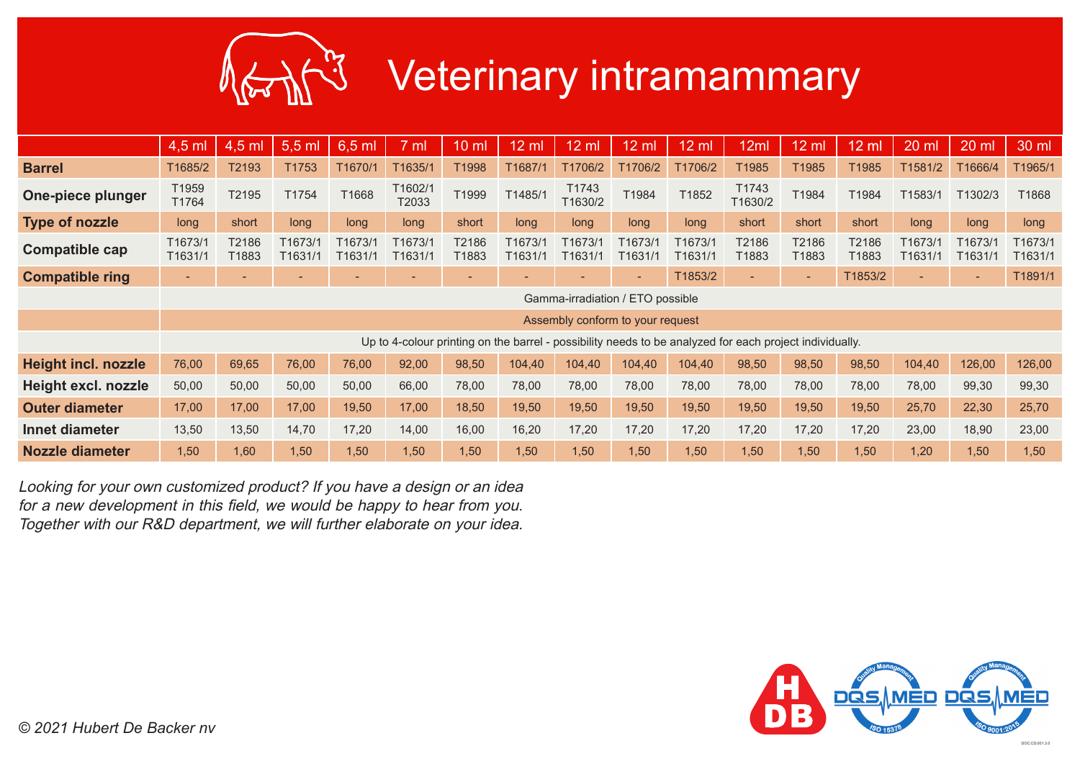

## Veterinary intramammary

|                            | 4,5 ml                           | 4,5 ml         | $5,5$ ml           | 6,5 ml                   | ml                                                                                                      | $10 \mathrm{m}$          | $12 \text{ ml}$          | $12 \mathrm{ml}$                 | $12 \text{ ml}$    | $12 \text{ ml}$    | 12ml                     | 12 ml                    | 12 ml          | 20 ml              | 20 ml              | 30 ml              |
|----------------------------|----------------------------------|----------------|--------------------|--------------------------|---------------------------------------------------------------------------------------------------------|--------------------------|--------------------------|----------------------------------|--------------------|--------------------|--------------------------|--------------------------|----------------|--------------------|--------------------|--------------------|
| <b>Barrel</b>              | T1685/2                          | T2193          | T1753              | T1670/1                  | T1635/1                                                                                                 | T1998                    | T1687/1                  | T1706/2                          | T1706/2            | T1706/2            | T1985                    | T1985                    | T1985          | T1581/2            | T1666/4            | T1965/1            |
| One-piece plunger          | T1959<br>T1764                   | T2195          | T1754              | T1668                    | T1602/1<br>T2033                                                                                        | T1999                    | T1485/1                  | T1743<br>T1630/2                 | T1984              | T1852              | T1743<br>T1630/2         | T1984                    | T1984          | T1583/1            | T1302/3            | T1868              |
| Type of nozzle             | long                             | short          | long               | long                     | long                                                                                                    | short                    | long                     | long                             | long               | long               | short                    | short                    | short          | long               | long               | long               |
| <b>Compatible cap</b>      | T1673/1<br>T1631/1               | T2186<br>T1883 | T1673/1<br>T1631/1 | T1673/1<br>T1631/1       | T1673/1<br>T1631/1                                                                                      | T2186<br>T1883           | T1673/1<br>T1631/        | T1673/1<br>T1631/1               | T1673/1<br>T1631/1 | T1673/1<br>T1631/1 | T2186<br>T1883           | T2186<br>T1883           | T2186<br>T1883 | T1673/1<br>T1631/1 | T1673/1<br>T1631/1 | T1673/1<br>T1631/1 |
| <b>Compatible ring</b>     | $\overline{\phantom{a}}$         |                |                    | $\overline{\phantom{0}}$ | $\overline{\phantom{0}}$                                                                                | $\overline{\phantom{a}}$ | $\overline{\phantom{a}}$ | $\overline{\phantom{a}}$         | ٠                  | T1853/2            | $\overline{\phantom{a}}$ | $\overline{\phantom{0}}$ | T1853/2        |                    | $\sim$             | T1891/1            |
|                            | Gamma-irradiation / ETO possible |                |                    |                          |                                                                                                         |                          |                          |                                  |                    |                    |                          |                          |                |                    |                    |                    |
|                            |                                  |                |                    |                          |                                                                                                         |                          |                          | Assembly conform to your request |                    |                    |                          |                          |                |                    |                    |                    |
|                            |                                  |                |                    |                          | Up to 4-colour printing on the barrel - possibility needs to be analyzed for each project individually. |                          |                          |                                  |                    |                    |                          |                          |                |                    |                    |                    |
| <b>Height incl. nozzle</b> | 76,00                            | 69,65          | 76,00              | 76,00                    | 92,00                                                                                                   | 98,50                    | 104,40                   | 104,40                           | 104,40             | 104,40             | 98,50                    | 98,50                    | 98,50          | 104,40             | 126,00             | 126,00             |
| Height excl. nozzle        | 50,00                            | 50,00          | 50,00              | 50,00                    | 66,00                                                                                                   | 78,00                    | 78,00                    | 78,00                            | 78,00              | 78,00              | 78,00                    | 78,00                    | 78,00          | 78,00              | 99,30              | 99,30              |
| <b>Outer diameter</b>      | 17,00                            | 17,00          | 17,00              | 19,50                    | 17,00                                                                                                   | 18,50                    | 19,50                    | 19,50                            | 19,50              | 19,50              | 19,50                    | 19,50                    | 19,50          | 25,70              | 22,30              | 25,70              |
| Innet diameter             | 13,50                            | 13,50          | 14,70              | 17,20                    | 14,00                                                                                                   | 16,00                    | 16,20                    | 17,20                            | 17,20              | 17,20              | 17,20                    | 17,20                    | 17,20          | 23,00              | 18,90              | 23,00              |
| <b>Nozzle diameter</b>     | 1,50                             | 1,60           | 1,50               | 1,50                     | 1,50                                                                                                    | 1,50                     | 1,50                     | 1,50                             | 1,50               | 1,50               | 1,50                     | 1,50                     | 1,50           | 1,20               | 1,50               | 1,50               |

Looking for your own customized product? If you have a design or an idea for a new development in this field, we would be happy to hear from you. Together with our R&D department, we will further elaborate on your idea.

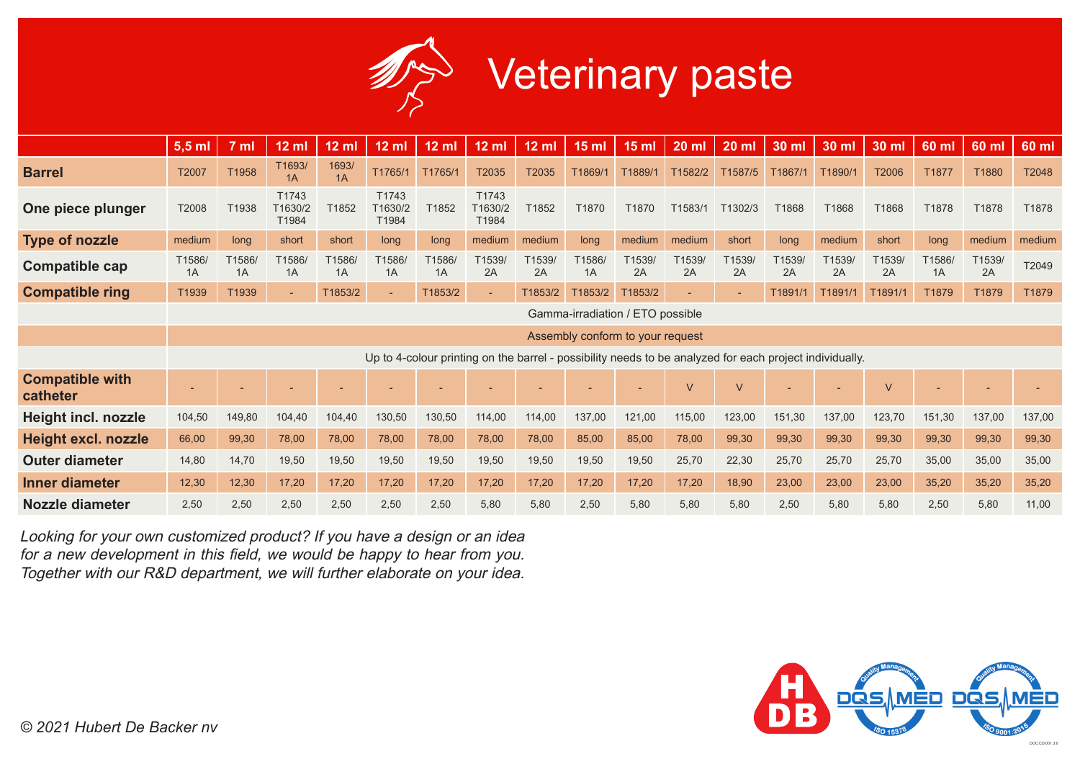

|                                    | $5,5$ ml                         | 7 ml         | $12$ ml                   | $12 \text{ ml}$ | $12$ ml                   | $12$ ml      | $12$ ml                   | $12 \text{ ml}$ | 15 <sub>m</sub> | <b>15 ml</b>                                                                                            | <b>20 ml</b>   | 20 ml        | 30 ml       | 30 ml        | 30 ml        | 60 ml        | $60$ ml      | 60 ml  |
|------------------------------------|----------------------------------|--------------|---------------------------|-----------------|---------------------------|--------------|---------------------------|-----------------|-----------------|---------------------------------------------------------------------------------------------------------|----------------|--------------|-------------|--------------|--------------|--------------|--------------|--------|
| <b>Barrel</b>                      | T2007                            | T1958        | T1693/<br>1A              | 1693/<br>1A     | T1765/1                   | T1765/1      | T2035                     | T2035           | T1869/1         | T1889/1                                                                                                 | T1582/2        | T1587/5      | T1867/1     | T1890/1      | T2006        | T1877        | T1880        | T2048  |
| One piece plunger                  | T2008                            | T1938        | T1743<br>T1630/2<br>T1984 | T1852           | T1743<br>T1630/2<br>T1984 | T1852        | T1743<br>T1630/2<br>T1984 | T1852           | T1870           | T1870                                                                                                   | T1583/1        | T1302/3      | T1868       | T1868        | T1868        | T1878        | T1878        | T1878  |
| <b>Type of nozzle</b>              | medium                           | long         | short                     | short           | long                      | long         | medium                    | medium          | long            | medium                                                                                                  | medium         | short        | long        | medium       | short        | long         | medium       | medium |
| Compatible cap                     | T1586/<br>1A                     | T1586/<br>1A | T1586/<br>1A              | T1586<br>1A     | T <sub>1586</sub><br>1A   | T1586/<br>1A | T <sub>1539</sub><br>2A   | T1539/<br>2A    | T1586/<br>1A    | T1539/<br>2A                                                                                            | T1539/<br>2A   | T1539/<br>2A | 1539/<br>2A | T1539/<br>2A | T1539/<br>2A | T1586/<br>1A | T1539/<br>2A | T2049  |
| <b>Compatible ring</b>             | T1939                            | T1939        | $\overline{\phantom{a}}$  | T1853/2         |                           | T1853/2      |                           | T1853/2         | T1853/2         | T1853/2                                                                                                 | $\overline{a}$ |              | T1891/1     | T1891/       | T1891/1      | T1879        | T1879        | T1879  |
|                                    | Gamma-irradiation / ETO possible |              |                           |                 |                           |              |                           |                 |                 |                                                                                                         |                |              |             |              |              |              |              |        |
|                                    | Assembly conform to your request |              |                           |                 |                           |              |                           |                 |                 |                                                                                                         |                |              |             |              |              |              |              |        |
|                                    |                                  |              |                           |                 |                           |              |                           |                 |                 | Up to 4-colour printing on the barrel - possibility needs to be analyzed for each project individually. |                |              |             |              |              |              |              |        |
| <b>Compatible with</b><br>catheter |                                  |              |                           |                 |                           |              |                           |                 |                 |                                                                                                         | $\vee$         | $\vee$       |             |              | $\vee$       |              |              |        |
| <b>Height incl. nozzle</b>         | 104,50                           | 149,80       | 104,40                    | 104,40          | 130,50                    | 130,50       | 114,00                    | 114,00          | 137,00          | 121,00                                                                                                  | 115,00         | 123,00       | 151,30      | 137,00       | 123,70       | 151,30       | 137,00       | 137,00 |
| <b>Height excl. nozzle</b>         | 66,00                            | 99,30        | 78,00                     | 78,00           | 78,00                     | 78,00        | 78,00                     | 78,00           | 85,00           | 85,00                                                                                                   | 78,00          | 99,30        | 99,30       | 99,30        | 99,30        | 99,30        | 99,30        | 99,30  |
| <b>Outer diameter</b>              | 14,80                            | 14,70        | 19,50                     | 19,50           | 19,50                     | 19,50        | 19,50                     | 19,50           | 19,50           | 19,50                                                                                                   | 25,70          | 22,30        | 25,70       | 25,70        | 25,70        | 35,00        | 35,00        | 35,00  |
| Inner diameter                     | 12,30                            | 12,30        | 17,20                     | 17,20           | 17,20                     | 17,20        | 17,20                     | 17,20           | 17,20           | 17,20                                                                                                   | 17,20          | 18,90        | 23,00       | 23,00        | 23,00        | 35,20        | 35,20        | 35,20  |
| <b>Nozzle diameter</b>             | 2,50                             | 2,50         | 2,50                      | 2,50            | 2,50                      | 2,50         | 5,80                      | 5,80            | 2,50            | 5,80                                                                                                    | 5,80           | 5,80         | 2,50        | 5,80         | 5,80         | 2,50         | 5,80         | 11,00  |

Looking for your own customized product? If you have a design or an idea for a new development in this field, we would be happy to hear from you. Together with our R&D department, we will further elaborate on your idea.